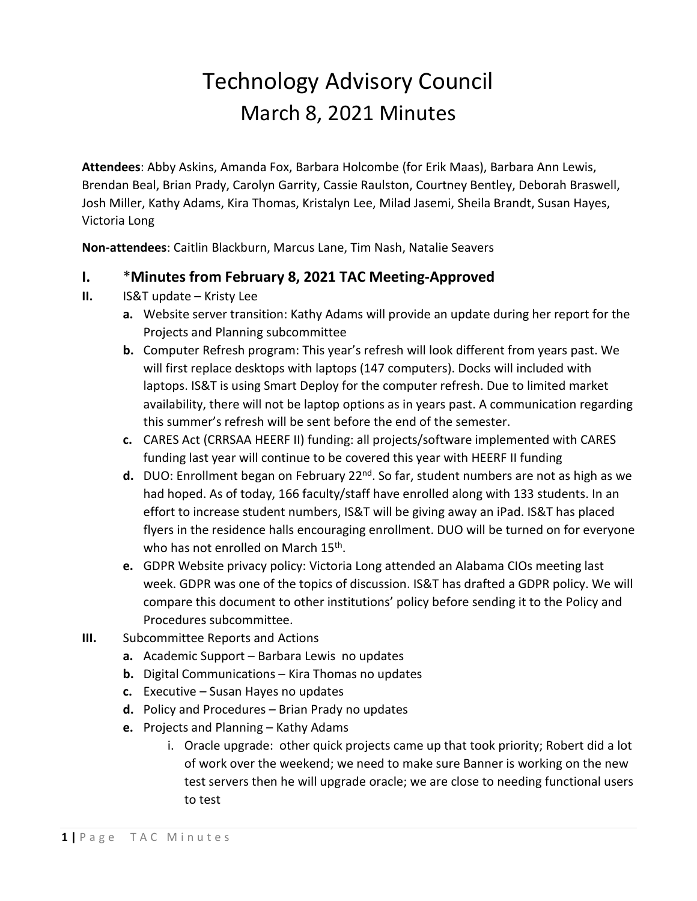## Technology Advisory Council March 8, 2021 Minutes

**Attendees**: Abby Askins, Amanda Fox, Barbara Holcombe (for Erik Maas), Barbara Ann Lewis, Brendan Beal, Brian Prady, Carolyn Garrity, Cassie Raulston, Courtney Bentley, Deborah Braswell, Josh Miller, Kathy Adams, Kira Thomas, Kristalyn Lee, Milad Jasemi, Sheila Brandt, Susan Hayes, Victoria Long

**Non-attendees**: Caitlin Blackburn, Marcus Lane, Tim Nash, Natalie Seavers

## **I.** \***Minutes from February 8, 2021 TAC Meeting-Approved**

- **II.** IS&T update Kristy Lee
	- **a.** Website server transition: Kathy Adams will provide an update during her report for the Projects and Planning subcommittee
	- **b.** Computer Refresh program: This year's refresh will look different from years past. We will first replace desktops with laptops (147 computers). Docks will included with laptops. IS&T is using Smart Deploy for the computer refresh. Due to limited market availability, there will not be laptop options as in years past. A communication regarding this summer's refresh will be sent before the end of the semester.
	- **c.** CARES Act (CRRSAA HEERF II) funding: all projects/software implemented with CARES funding last year will continue to be covered this year with HEERF II funding
	- d. DUO: Enrollment began on February 22<sup>nd</sup>. So far, student numbers are not as high as we had hoped. As of today, 166 faculty/staff have enrolled along with 133 students. In an effort to increase student numbers, IS&T will be giving away an iPad. IS&T has placed flyers in the residence halls encouraging enrollment. DUO will be turned on for everyone who has not enrolled on March 15<sup>th</sup>.
	- **e.** GDPR Website privacy policy: Victoria Long attended an Alabama CIOs meeting last week. GDPR was one of the topics of discussion. IS&T has drafted a GDPR policy. We will compare this document to other institutions' policy before sending it to the Policy and Procedures subcommittee.
- **III.** Subcommittee Reports and Actions
	- **a.** Academic Support Barbara Lewis no updates
	- **b.** Digital Communications Kira Thomas no updates
	- **c.** Executive Susan Hayes no updates
	- **d.** Policy and Procedures Brian Prady no updates
	- **e.** Projects and Planning Kathy Adams
		- i. Oracle upgrade: other quick projects came up that took priority; Robert did a lot of work over the weekend; we need to make sure Banner is working on the new test servers then he will upgrade oracle; we are close to needing functional users to test